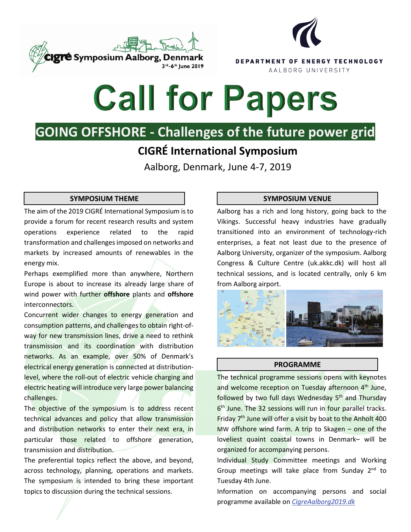



# **Call for Papers**

## **GOING OFFSHORE - Challenges of the future power grid**

## **CIGRÉ International Symposium**

Aalborg, Denmark, June 4-7, 2019

The aim of the 2019 CIGRÉ International Symposium isto provide a forum for recent research results and system operations experience related to the rapid transformation and challenges imposed on networks and markets by increased amounts of renewables in the energy mix.

Perhaps exemplified more than anywhere, Northern Europe is about to increase its already large share of wind power with further **offshore** plants and **offshore** interconnectors.

Concurrent wider changes to energy generation and consumption patterns, and challenges to obtain right-ofway for new transmission lines, drive a need to rethink transmission and its coordination with distribution networks. As an example, over 50% of Denmark's electrical energy generation is connected at distributionlevel, where the roll-out of electric vehicle charging and electric heating will introduce very large power balancing challenges.

The objective of the symposium is to address recent technical advances and policy that allow transmission and distribution networks to enter their next era, in particular those related to offshore generation, transmission and distribution.

The preferential topics reflect the above, and beyond, across technology, planning, operations and markets. The symposium is intended to bring these important topics to discussion during the technical sessions.

### **SYMPOSIUM THEME SYMPOSIUM VENUE**

Aalborg has a rich and long history, going back to the Vikings. Successful heavy industries have gradually transitioned into an environment of technology-rich enterprises, a feat not least due to the presence of Aalborg University, organizer of the symposium. Aalborg Congress & Culture Centre (uk.akkc.dk) will host all technical sessions, and is located centrally, only 6 km from Aalborg airport.



#### **PROGRAMME**

The technical programme sessions opens with keynotes and welcome reception on Tuesday afternoon 4<sup>th</sup> June, followed by two full days Wednesday 5<sup>th</sup> and Thursday 6th June. The 32 sessions will run in four parallel tracks. Friday  $7<sup>th</sup>$  June will offer a visit by boat to the Anholt 400 MW offshore wind farm. A trip to Skagen – one of the loveliest quaint coastal towns in Denmark– will be organized for accompanying persons.

Individual Study Committee meetings and Working Group meetings will take place from Sunday 2<sup>nd</sup> to Tuesday 4th June.

Information on accompanying persons and social programme available on *[CigreAalborg2019.dk](https://cigreaalborg2019.dk/)*